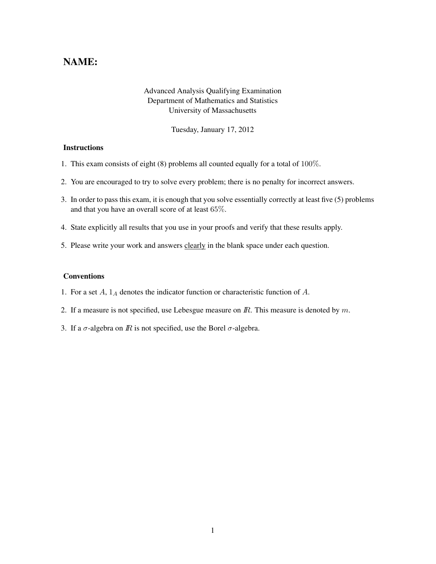## NAME:

## Advanced Analysis Qualifying Examination Department of Mathematics and Statistics University of Massachusetts

Tuesday, January 17, 2012

## **Instructions**

- 1. This exam consists of eight (8) problems all counted equally for a total of 100%.
- 2. You are encouraged to try to solve every problem; there is no penalty for incorrect answers.
- 3. In order to pass this exam, it is enough that you solve essentially correctly at least five (5) problems and that you have an overall score of at least 65%.
- 4. State explicitly all results that you use in your proofs and verify that these results apply.
- 5. Please write your work and answers clearly in the blank space under each question.

## Conventions

- 1. For a set  $A$ ,  $1_A$  denotes the indicator function or characteristic function of  $A$ .
- 2. If a measure is not specified, use Lebesgue measure on  $\mathbb{R}$ . This measure is denoted by  $m$ .
- 3. If a  $\sigma$ -algebra on *IR* is not specified, use the Borel  $\sigma$ -algebra.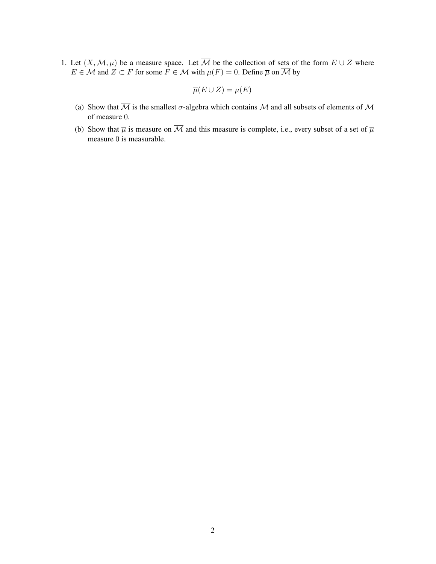1. Let  $(X, \mathcal{M}, \mu)$  be a measure space. Let  $\overline{\mathcal{M}}$  be the collection of sets of the form  $E \cup Z$  where  $E \in \mathcal{M}$  and  $Z \subset F$  for some  $\overline{F} \in \mathcal{M}$  with  $\mu(F) = 0$ . Define  $\overline{\mu}$  on  $\overline{\mathcal{M}}$  by

$$
\overline{\mu}(E \cup Z) = \mu(E)
$$

- (a) Show that  $\overline{\mathcal{M}}$  is the smallest  $\sigma$ -algebra which contains  $\mathcal M$  and all subsets of elements of  $\mathcal M$ of measure 0.
- (b) Show that  $\overline{\mu}$  is measure on  $\overline{\mathcal{M}}$  and this measure is complete, i.e., every subset of a set of  $\overline{\mu}$ measure 0 is measurable.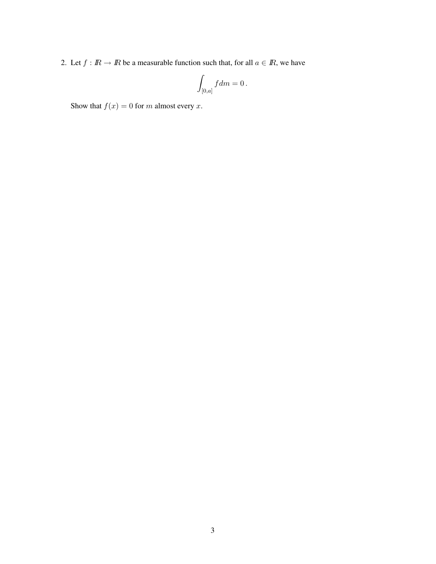2. Let  $f : \mathbb{R} \to \mathbb{R}$  be a measurable function such that, for all  $a \in \mathbb{R}$ , we have

$$
\int_{[0,a]} f dm = 0 \, .
$$

Show that  $f(x) = 0$  for m almost every x.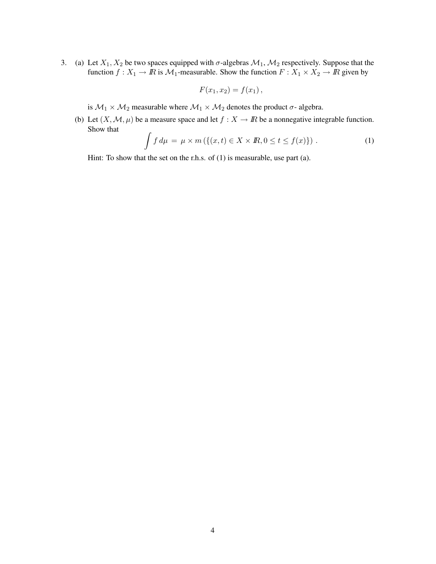3. (a) Let  $X_1, X_2$  be two spaces equipped with  $\sigma$ -algebras  $M_1, M_2$  respectively. Suppose that the function  $f: X_1 \to \mathbb{R}$  is  $\mathcal{M}_1$ -measurable. Show the function  $F: X_1 \times X_2 \to \mathbb{R}$  given by

$$
F(x_1,x_2)=f(x_1),
$$

is  $M_1 \times M_2$  measurable where  $M_1 \times M_2$  denotes the product  $\sigma$ - algebra.

(b) Let  $(X, \mathcal{M}, \mu)$  be a measure space and let  $f : X \to \mathbb{R}$  be a nonnegative integrable function. Show that

$$
\int f d\mu = \mu \times m \left( \{ (x, t) \in X \times \mathbb{R}, 0 \le t \le f(x) \} \right). \tag{1}
$$

Hint: To show that the set on the r.h.s. of (1) is measurable, use part (a).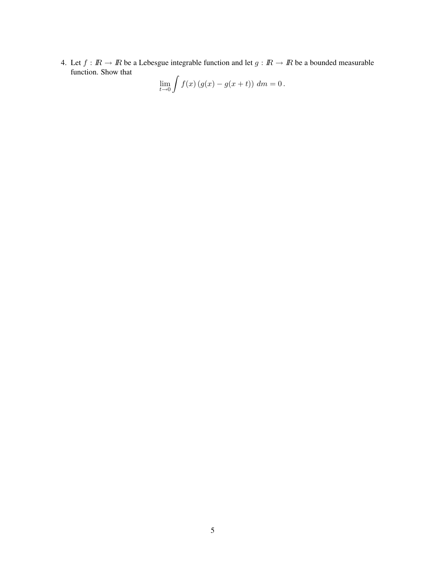4. Let  $f : \mathbb{R} \to \mathbb{R}$  be a Lebesgue integrable function and let  $g : \mathbb{R} \to \mathbb{R}$  be a bounded measurable function. Show that

$$
\lim_{t \to 0} \int f(x) (g(x) - g(x + t)) \, dm = 0.
$$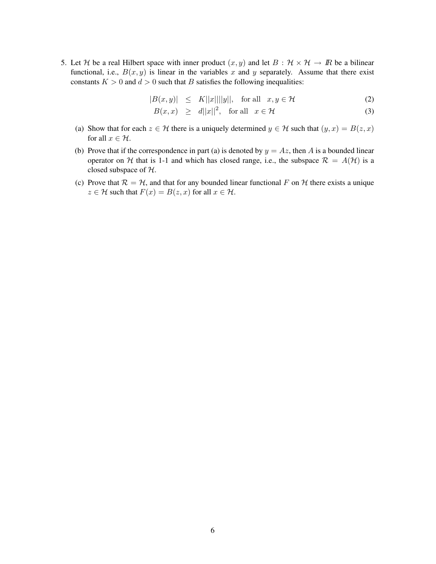5. Let H be a real Hilbert space with inner product  $(x, y)$  and let  $B : H \times H \rightarrow \mathbb{R}$  be a bilinear functional, i.e.,  $B(x, y)$  is linear in the variables x and y separately. Assume that there exist constants  $K > 0$  and  $d > 0$  such that B satisfies the following inequalities:

$$
|B(x,y)| \leq K||x|| ||y||, \text{ for all } x, y \in \mathcal{H}
$$
 (2)

$$
B(x, x) \geq d||x||^2, \text{ for all } x \in \mathcal{H}
$$
 (3)

- (a) Show that for each  $z \in \mathcal{H}$  there is a uniquely determined  $y \in \mathcal{H}$  such that  $(y, x) = B(z, x)$ for all  $x \in \mathcal{H}$ .
- (b) Prove that if the correspondence in part (a) is denoted by  $y = Az$ , then A is a bounded linear operator on H that is 1-1 and which has closed range, i.e., the subspace  $\mathcal{R} = A(\mathcal{H})$  is a closed subspace of H.
- (c) Prove that  $\mathcal{R} = \mathcal{H}$ , and that for any bounded linear functional F on H there exists a unique  $z \in \mathcal{H}$  such that  $F(x) = B(z, x)$  for all  $x \in \mathcal{H}$ .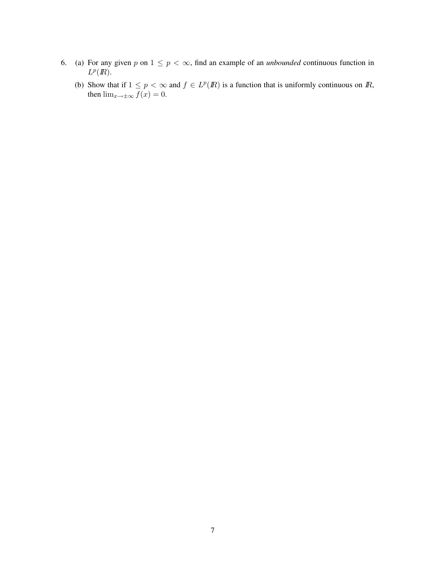- 6. (a) For any given p on  $1 \leq p < \infty$ , find an example of an *unbounded* continuous function in  $L^p(\mathbb{R})$ .
	- (b) Show that if  $1 \leq p < \infty$  and  $f \in L^p(\mathbb{R})$  is a function that is uniformly continuous on  $\mathbb{R}$ , then  $\lim_{x \to \pm \infty} \overline{f(x)} = 0$ .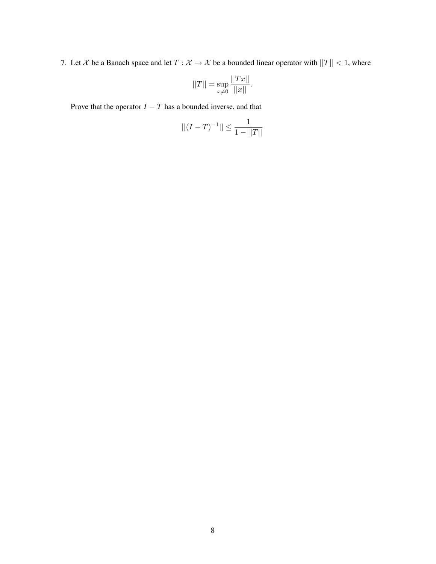7. Let X be a Banach space and let  $T : \mathcal{X} \to \mathcal{X}$  be a bounded linear operator with  $||T|| < 1$ , where

$$
||T|| = \sup_{x \neq 0} \frac{||Tx||}{||x||}.
$$

Prove that the operator  $I - T$  has a bounded inverse, and that

$$
||(I - T)^{-1}|| \le \frac{1}{1 - ||T||}
$$